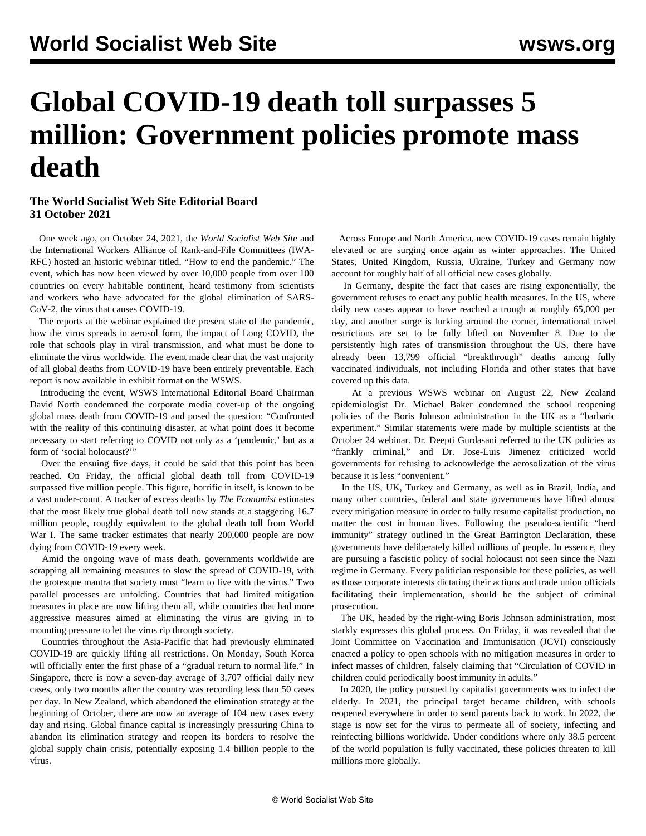## **Global COVID-19 death toll surpasses 5 million: Government policies promote mass death**

## **The World Socialist Web Site Editorial Board 31 October 2021**

 One week ago, on October 24, 2021, the *World Socialist Web Site* and the International Workers Alliance of Rank-and-File Committees (IWA-RFC) hosted an historic webinar titled, "How to end the pandemic." The event, which has now been viewed by over 10,000 people from over 100 countries on every habitable continent, heard testimony from scientists and workers who have advocated for the global elimination of SARS-CoV-2, the virus that causes COVID-19.

 The reports at the webinar explained the present state of the pandemic, how the virus spreads in aerosol form, the impact of Long COVID, the role that schools play in viral transmission, and what must be done to eliminate the virus worldwide. The event made clear that the vast majority of all global deaths from COVID-19 have been entirely preventable. Each report is now available in [exhibit format on the WSWS](/en/special/pages/how-to-end-the-pandemic.html).

 Introducing the event, WSWS International Editorial Board Chairman David North condemned the corporate media cover-up of the ongoing global mass death from COVID-19 and posed the question: "Confronted with the reality of this continuing disaster, at what point does it become necessary to start referring to COVID not only as a 'pandemic,' but as a form of 'social holocaust?'"

 Over the ensuing five days, it could be said that this point has been reached. On Friday, the official global death toll from COVID-19 surpassed five million people. This figure, horrific in itself, is known to be a vast under-count. A tracker of excess deaths by *The Economist* estimates that the most likely true global death toll now stands at a staggering 16.7 million people, roughly equivalent to the global death toll from World War I. The same tracker estimates that nearly 200,000 people are now dying from COVID-19 every week.

 Amid the ongoing wave of mass death, governments worldwide are scrapping all remaining measures to slow the spread of COVID-19, with the grotesque mantra that society must "learn to live with the virus." Two parallel processes are unfolding. Countries that had limited mitigation measures in place are now lifting them all, while countries that had more aggressive measures aimed at eliminating the virus are giving in to mounting pressure to let the virus rip through society.

 Countries throughout the Asia-Pacific that had previously eliminated COVID-19 are quickly lifting all restrictions. On Monday, South Korea will officially enter the first phase of a "gradual return to normal life." In Singapore, there is now a seven-day average of 3,707 official daily new cases, only two months after the country was recording less than 50 cases per day. In New Zealand, which abandoned the elimination strategy at the beginning of October, there are now an average of 104 new cases every day and rising. Global finance capital is increasingly pressuring China to abandon its elimination strategy and reopen its borders to resolve the global supply chain crisis, potentially exposing 1.4 billion people to the virus.

 Across Europe and North America, new COVID-19 cases remain highly elevated or are surging once again as winter approaches. The United States, United Kingdom, Russia, Ukraine, Turkey and Germany now account for roughly half of all official new cases globally.

 In Germany, despite the fact that cases are rising exponentially, the government refuses to enact any public health measures. In the US, where daily new cases appear to have reached a trough at roughly 65,000 per day, and another surge is lurking around the corner, international travel restrictions are set to be fully lifted on November 8. Due to the persistently high rates of transmission throughout the US, there have already been 13,799 official "breakthrough" deaths among fully vaccinated individuals, not including Florida and other states that have covered up this data.

 At a previous WSWS webinar on August 22, New Zealand epidemiologist Dr. Michael Baker condemned the school reopening policies of the Boris Johnson administration in the UK as a "barbaric experiment." Similar statements were made by multiple scientists at the October 24 webinar. Dr. Deepti Gurdasani referred to the UK policies as "frankly criminal," and Dr. Jose-Luis Jimenez criticized world governments for refusing to acknowledge the aerosolization of the virus because it is less "convenient."

 In the US, UK, Turkey and Germany, as well as in Brazil, India, and many other countries, federal and state governments have lifted almost every mitigation measure in order to fully resume capitalist production, no matter the cost in human lives. Following the pseudo-scientific "herd immunity" strategy outlined in the Great Barrington Declaration, these governments have deliberately killed millions of people. In essence, they are pursuing a fascistic policy of social holocaust not seen since the Nazi regime in Germany. Every politician responsible for these policies, as well as those corporate interests dictating their actions and trade union officials facilitating their implementation, should be the subject of criminal prosecution.

 The UK, headed by the right-wing Boris Johnson administration, most starkly expresses this global process. On Friday, it was revealed that the Joint Committee on Vaccination and Immunisation (JCVI) consciously enacted a policy to open schools with no mitigation measures in order to infect masses of children, falsely claiming that "Circulation of COVID in children could periodically boost immunity in adults."

 In 2020, the policy pursued by capitalist governments was to infect the elderly. In 2021, the principal target became children, with schools reopened everywhere in order to send parents back to work. In 2022, the stage is now set for the virus to permeate all of society, infecting and reinfecting billions worldwide. Under conditions where only 38.5 percent of the world population is fully vaccinated, these policies threaten to kill millions more globally.